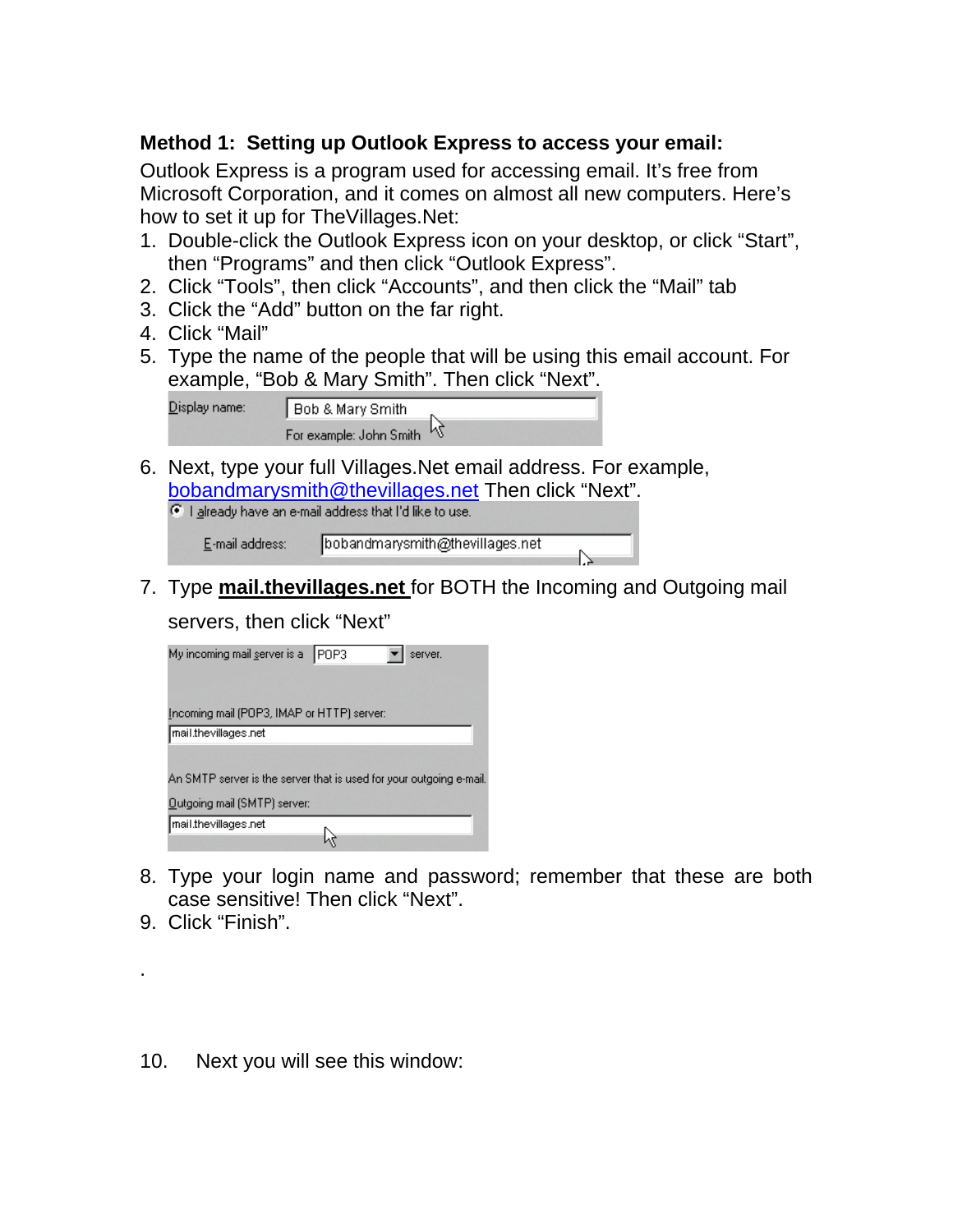## **Method 1: Setting up Outlook Express to access your email:**

Outlook Express is a program used for accessing email. It's free from Microsoft Corporation, and it comes on almost all new computers. Here's how to set it up for TheVillages.Net:

- 1. Double-click the Outlook Express icon on your desktop, or click "Start", then "Programs" and then click "Outlook Express".
- 2. Click "Tools", then click "Accounts", and then click the "Mail" tab
- 3. Click the "Add" button on the far right.
- 4. Click "Mail"
- 5. Type the name of the people that will be using this email account. For example, "Bob & Mary Smith". Then click "Next".

| Display name: | Bob & Mary Smith          |
|---------------|---------------------------|
|               | For example: John Smith N |

6. Next, type your full Villages.Net email address. For example, bobandmarysmith@thevillages.net Then click "Next".

|                 | $\bullet$ I already have an e-mail address that I'd like to use. |
|-----------------|------------------------------------------------------------------|
| E-mail address: | bobandmarysmith@thevillages.net                                  |

7. Type **mail.thevillages.net** for BOTH the Incoming and Outgoing mail

ℕ

servers, then click "Next"

| My incoming mail server is a POP3<br>server.                        |
|---------------------------------------------------------------------|
| Incoming mail (POP3, IMAP or HTTP) server:                          |
| mail.thevillages.net                                                |
|                                                                     |
| An SMTP server is the server that is used for your outgoing e-mail. |
| Outgoing mail (SMTP) server:                                        |
| mail.thevillages.net                                                |
|                                                                     |

- 8. Type your login name and password; remember that these are both case sensitive! Then click "Next".
- 9. Click "Finish".

.

10. Next you will see this window: